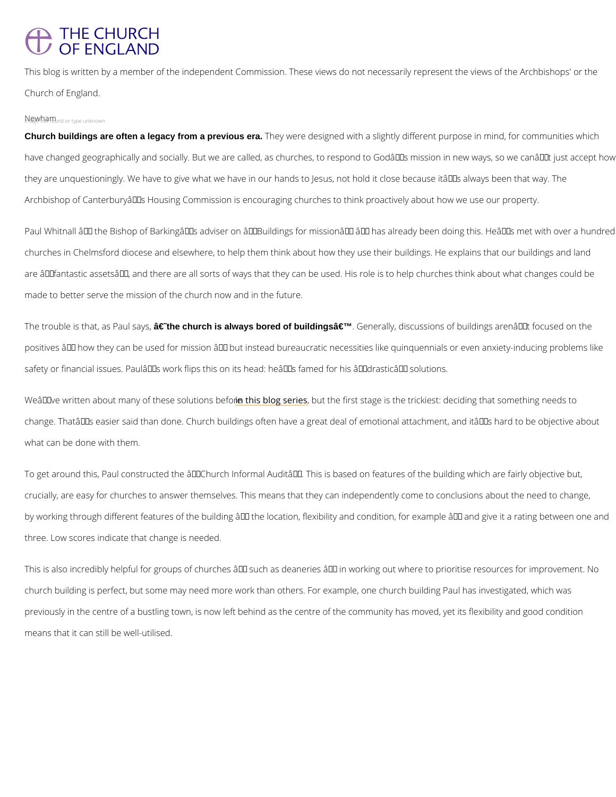## **THE CHURCH OF ENGLAND**

This blog is written by a member of the independent Commission. These views do not necess Church of England.

## $N$ <sub>m</sub> $\mathcal{G}_q$ w<sub>,</sub>  $N$ <sub>n</sub> $\mathcal{G}_t$   $m$ <sub>o und or type unknown</sub>

Church buildings are often a legacy from a previous era. They were designed with a slightly different purpose in have changed geographically and socially. But we are called, as churches, to respond to God they are unquestioningly. We have to give what we have in our hands to Jesus, not hold it cl Archbishop of Canterbury's Housing Commission is encouraging churches to think proacti

Paul Whitnall – the Bishop of Barking's adviser on "Buildings for mission― – ha churches in Chelmsford diocese and elsewhere, to help them think about how they use their b are  $\hat{a} \in \tilde{a}$  fantastic assets $\hat{a} \in \tilde{a}^M$ , and there are all sorts of ways that they can be used. His role i made to better serve the mission of the church now and in the future.

The trouble is that,  $\hat{\text{a}}$ s fäcsth $\texttt{P}$  ahuutchsiaa,ylwegys bored of buildings' . Generally, discussions of buildings aren positives â $\epsilon^*$  how they can be used for mission â $\epsilon^*$  but instead bureaucratic necessities like safety or financial issues. Paul's work flips this on its head: he's famed for his â€~dr

We  $\hat{a} \in \mathbb{M}$  ve written about many of the stais oblog shoust bet the first stage is the trickiest: deciding that change. That's easier said than done. Church buildings often have a great deal of emotio what can be done with them.

To get around this, Paul constructed the  $\hat{\mathbf{a}} \in \tilde{\phantom{a}}$  Church Informal Audit $\hat{\mathbf{a}} \in \tilde{\phantom{a}}^{\mathsf{M}}$ . This is based on feat crucially, are easy for churches to answer themselves. This means that they can independent by working through different features of the building  $\hat{\mathbf{a}} \in$  the location, flexibility and conditio three. Low scores indicate that change is needed.

This is also incredibly helpful for groups of churches  $\hat{\mathbf{a}} \in \tilde{B}^*$  such as deaneries  $\hat{\mathbf{a}} \in \tilde{B}^*$  in working o church building is perfect, but some may need more work than others. For example, one chur

previously in the centre of a bustling town, is now left behind as the centre of the community

means that it can still be well-utilised.